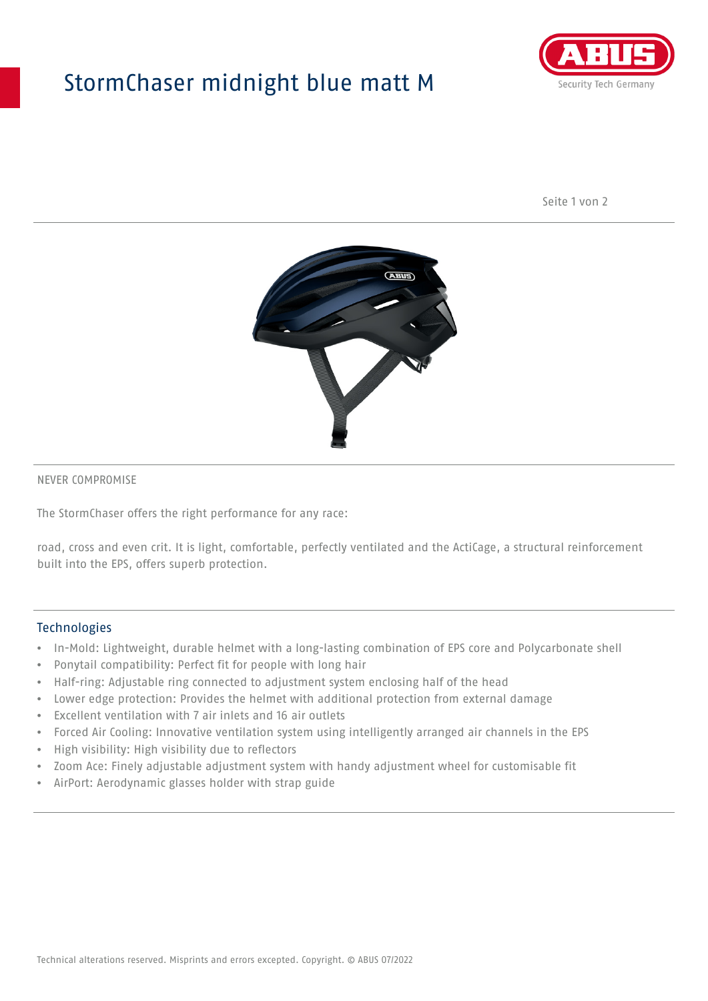## StormChaser midnight blue matt M



Seite 1 von 2



#### NEVER COMPROMISE

The StormChaser offers the right performance for any race:

road, cross and even crit. It is light, comfortable, perfectly ventilated and the ActiCage, a structural reinforcement built into the EPS, offers superb protection.

#### Technologies

- In-Mold: Lightweight, durable helmet with a long-lasting combination of EPS core and Polycarbonate shell
- Ponytail compatibility: Perfect fit for people with long hair
- Half-ring: Adjustable ring connected to adjustment system enclosing half of the head
- Lower edge protection: Provides the helmet with additional protection from external damage
- Excellent ventilation with 7 air inlets and 16 air outlets
- Forced Air Cooling: Innovative ventilation system using intelligently arranged air channels in the EPS
- High visibility: High visibility due to reflectors
- Zoom Ace: Finely adjustable adjustment system with handy adjustment wheel for customisable fit
- AirPort: Aerodynamic glasses holder with strap guide